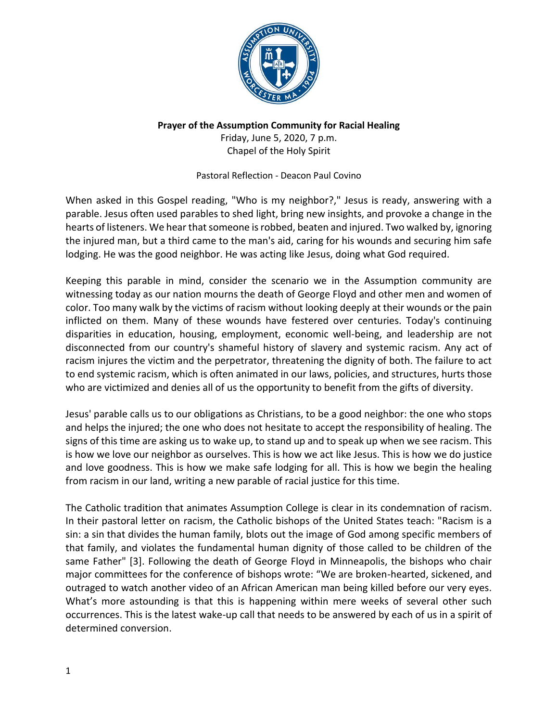

## **Prayer of the Assumption Community for Racial Healing**

Friday, June 5, 2020, 7 p.m. Chapel of the Holy Spirit

Pastoral Reflection - Deacon Paul Covino

When asked in this Gospel reading, "Who is my neighbor?," Jesus is ready, answering with a parable. Jesus often used parables to shed light, bring new insights, and provoke a change in the hearts of listeners. We hear that someone is robbed, beaten and injured. Two walked by, ignoring the injured man, but a third came to the man's aid, caring for his wounds and securing him safe lodging. He was the good neighbor. He was acting like Jesus, doing what God required.

Keeping this parable in mind, consider the scenario we in the Assumption community are witnessing today as our nation mourns the death of George Floyd and other men and women of color. Too many walk by the victims of racism without looking deeply at their wounds or the pain inflicted on them. Many of these wounds have festered over centuries. Today's continuing disparities in education, housing, employment, economic well-being, and leadership are not disconnected from our country's shameful history of slavery and systemic racism. Any act of racism injures the victim and the perpetrator, threatening the dignity of both. The failure to act to end systemic racism, which is often animated in our laws, policies, and structures, hurts those who are victimized and denies all of us the opportunity to benefit from the gifts of diversity.

Jesus' parable calls us to our obligations as Christians, to be a good neighbor: the one who stops and helps the injured; the one who does not hesitate to accept the responsibility of healing. The signs of this time are asking us to wake up, to stand up and to speak up when we see racism. This is how we love our neighbor as ourselves. This is how we act like Jesus. This is how we do justice and love goodness. This is how we make safe lodging for all. This is how we begin the healing from racism in our land, writing a new parable of racial justice for this time.

The Catholic tradition that animates Assumption College is clear in its condemnation of racism. In their pastoral letter on racism, the Catholic bishops of the United States teach: "Racism is a sin: a sin that divides the human family, blots out the image of God among specific members of that family, and violates the fundamental human dignity of those called to be children of the same Father" [3]. Following the death of George Floyd in Minneapolis, the bishops who chair major committees for the conference of bishops wrote: "We are broken-hearted, sickened, and outraged to watch another video of an African American man being killed before our very eyes. What's more astounding is that this is happening within mere weeks of several other such occurrences. This is the latest wake-up call that needs to be answered by each of us in a spirit of determined conversion.